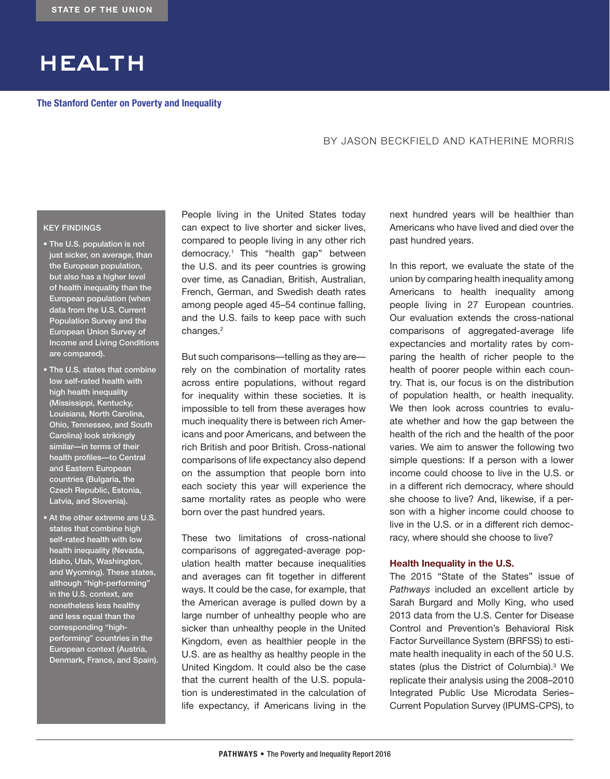# health

**The Stanford Center on Poverty and Inequality**

## BY JASON BECKFIELD AND KATHERINE MORRIS

### KEY FINDINGS

- The U.S. population is not just sicker, on average, than the European population, but also has a higher level of health inequality than the European population (when data from the U.S. Current Population Survey and the European Union Survey of Income and Living Conditions are compared).
- The U.S. states that combine low self-rated health with high health inequality (Mississippi, Kentucky, Louisiana, North Carolina, Ohio, Tennessee, and South Carolina) look strikingly similar-in terms of their health profiles—to Central and Eastern European countries (Bulgaria, the Czech Republic, Estonia, Latvia, and Slovenia).
- At the other extreme are U.S. states that combine high self-rated health with low health inequality (Nevada, Idaho, Utah, Washington, and Wyoming). These states, although "high-performing" in the U.S. context, are nonetheless less healthy and less equal than the corresponding "highperforming" countries in the European context (Austria, Denmark, France, and Spain).

People living in the United States today can expect to live shorter and sicker lives, compared to people living in any other rich democracy.<sup>1</sup> This "health gap" between the U.S. and its peer countries is growing over time, as Canadian, British, Australian, French, German, and Swedish death rates among people aged 45–54 continue falling, and the U.S. fails to keep pace with such changes.<sup>2</sup>

But such comparisons—telling as they are rely on the combination of mortality rates across entire populations, without regard for inequality within these societies. It is impossible to tell from these averages how much inequality there is between rich Americans and poor Americans, and between the rich British and poor British. Cross-national comparisons of life expectancy also depend on the assumption that people born into each society this year will experience the same mortality rates as people who were born over the past hundred years.

These two limitations of cross-national comparisons of aggregated-average population health matter because inequalities and averages can fit together in different ways. It could be the case, for example, that the American average is pulled down by a large number of unhealthy people who are sicker than unhealthy people in the United Kingdom, even as healthier people in the U.S. are as healthy as healthy people in the United Kingdom. It could also be the case that the current health of the U.S. population is underestimated in the calculation of life expectancy, if Americans living in the next hundred years will be healthier than Americans who have lived and died over the past hundred years.

In this report, we evaluate the state of the union by comparing health inequality among Americans to health inequality among people living in 27 European countries. Our evaluation extends the cross-national comparisons of aggregated-average life expectancies and mortality rates by comparing the health of richer people to the health of poorer people within each country. That is, our focus is on the distribution of population health, or health inequality. We then look across countries to evaluate whether and how the gap between the health of the rich and the health of the poor varies. We aim to answer the following two simple questions: If a person with a lower income could choose to live in the U.S. or in a different rich democracy, where should she choose to live? And, likewise, if a person with a higher income could choose to live in the U.S. or in a different rich democracy, where should she choose to live?

#### **Health Inequality in the U.S.**

The 2015 "State of the States" issue of *Pathways* included an excellent article by Sarah Burgard and Molly King, who used 2013 data from the U.S. Center for Disease Control and Prevention's Behavioral Risk Factor Surveillance System (BRFSS) to estimate health inequality in each of the 50 U.S. states (plus the District of Columbia).<sup>3</sup> We replicate their analysis using the 2008–2010 Integrated Public Use Microdata Series– Current Population Survey (IPUMS-CPS), to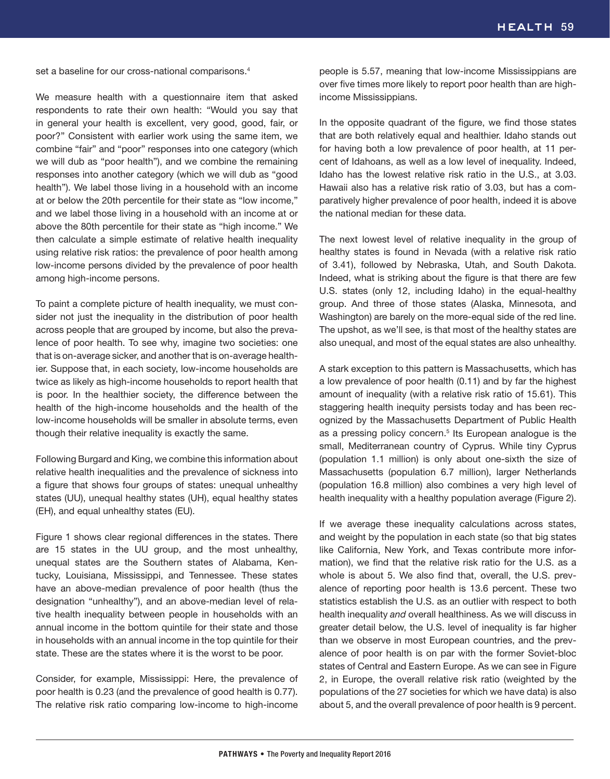set a baseline for our cross-national comparisons.<sup>4</sup>

We measure health with a questionnaire item that asked respondents to rate their own health: "Would you say that in general your health is excellent, very good, good, fair, or poor?" Consistent with earlier work using the same item, we combine "fair" and "poor" responses into one category (which we will dub as "poor health"), and we combine the remaining responses into another category (which we will dub as "good health"). We label those living in a household with an income at or below the 20th percentile for their state as "low income," and we label those living in a household with an income at or above the 80th percentile for their state as "high income." We then calculate a simple estimate of relative health inequality using relative risk ratios: the prevalence of poor health among low-income persons divided by the prevalence of poor health among high-income persons.

To paint a complete picture of health inequality, we must consider not just the inequality in the distribution of poor health across people that are grouped by income, but also the prevalence of poor health. To see why, imagine two societies: one that is on-average sicker, and another that is on-average healthier. Suppose that, in each society, low-income households are twice as likely as high-income households to report health that is poor. In the healthier society, the difference between the health of the high-income households and the health of the low-income households will be smaller in absolute terms, even though their relative inequality is exactly the same.

Following Burgard and King, we combine this information about relative health inequalities and the prevalence of sickness into a figure that shows four groups of states: unequal unhealthy states (UU), unequal healthy states (UH), equal healthy states (EH), and equal unhealthy states (EU).

Figure 1 shows clear regional differences in the states. There are 15 states in the UU group, and the most unhealthy, unequal states are the Southern states of Alabama, Kentucky, Louisiana, Mississippi, and Tennessee. These states have an above-median prevalence of poor health (thus the designation "unhealthy"), and an above-median level of relative health inequality between people in households with an annual income in the bottom quintile for their state and those in households with an annual income in the top quintile for their state. These are the states where it is the worst to be poor.

Consider, for example, Mississippi: Here, the prevalence of poor health is 0.23 (and the prevalence of good health is 0.77). The relative risk ratio comparing low-income to high-income

people is 5.57, meaning that low-income Mississippians are over five times more likely to report poor health than are highincome Mississippians.

In the opposite quadrant of the figure, we find those states that are both relatively equal and healthier. Idaho stands out for having both a low prevalence of poor health, at 11 percent of Idahoans, as well as a low level of inequality. Indeed, Idaho has the lowest relative risk ratio in the U.S., at 3.03. Hawaii also has a relative risk ratio of 3.03, but has a comparatively higher prevalence of poor health, indeed it is above the national median for these data.

The next lowest level of relative inequality in the group of healthy states is found in Nevada (with a relative risk ratio of 3.41), followed by Nebraska, Utah, and South Dakota. Indeed, what is striking about the figure is that there are few U.S. states (only 12, including Idaho) in the equal-healthy group. And three of those states (Alaska, Minnesota, and Washington) are barely on the more-equal side of the red line. The upshot, as we'll see, is that most of the healthy states are also unequal, and most of the equal states are also unhealthy.

A stark exception to this pattern is Massachusetts, which has a low prevalence of poor health (0.11) and by far the highest amount of inequality (with a relative risk ratio of 15.61). This staggering health inequity persists today and has been recognized by the Massachusetts Department of Public Health as a pressing policy concern.<sup>5</sup> Its European analogue is the small, Mediterranean country of Cyprus. While tiny Cyprus (population 1.1 million) is only about one-sixth the size of Massachusetts (population 6.7 million), larger Netherlands (population 16.8 million) also combines a very high level of health inequality with a healthy population average (Figure 2).

If we average these inequality calculations across states, and weight by the population in each state (so that big states like California, New York, and Texas contribute more information), we find that the relative risk ratio for the U.S. as a whole is about 5. We also find that, overall, the U.S. prevalence of reporting poor health is 13.6 percent. These two statistics establish the U.S. as an outlier with respect to both health inequality *and* overall healthiness. As we will discuss in greater detail below, the U.S. level of inequality is far higher than we observe in most European countries, and the prevalence of poor health is on par with the former Soviet-bloc states of Central and Eastern Europe. As we can see in Figure 2, in Europe, the overall relative risk ratio (weighted by the populations of the 27 societies for which we have data) is also about 5, and the overall prevalence of poor health is 9 percent.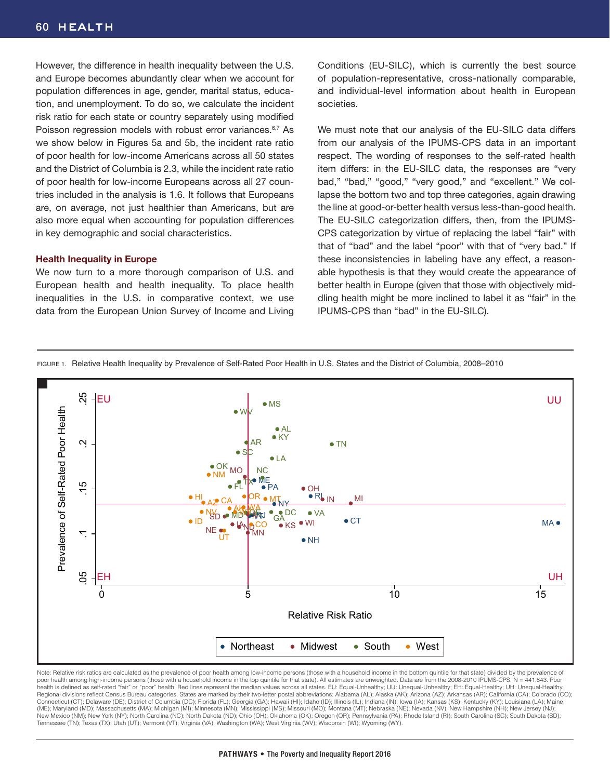However, the difference in health inequality between the U.S. and Europe becomes abundantly clear when we account for population differences in age, gender, marital status, education, and unemployment. To do so, we calculate the incident risk ratio for each state or country separately using modified Poisson regression models with robust error variances.<sup>6,7</sup> As we show below in Figures 5a and 5b, the incident rate ratio of poor health for low-income Americans across all 50 states and the District of Columbia is 2.3, while the incident rate ratio of poor health for low-income Europeans across all 27 countries included in the analysis is 1.6. It follows that Europeans are, on average, not just healthier than Americans, but are also more equal when accounting for population differences in key demographic and social characteristics.

#### **Health Inequality in Europe**

We now turn to a more thorough comparison of U.S. and European health and health inequality. To place health inequalities in the U.S. in comparative context, we use data from the European Union Survey of Income and Living Conditions (EU-SILC), which is currently the best source of population-representative, cross-nationally comparable, and individual-level information about health in European societies.

We must note that our analysis of the EU-SILC data differs from our analysis of the IPUMS-CPS data in an important respect. The wording of responses to the self-rated health item differs: in the EU-SILC data, the responses are "very bad," "bad," "good," "very good," and "excellent." We collapse the bottom two and top three categories, again drawing the line at good-or-better health versus less-than-good health. The EU-SILC categorization differs, then, from the IPUMS-CPS categorization by virtue of replacing the label "fair" with that of "bad" and the label "poor" with that of "very bad." If these inconsistencies in labeling have any effect, a reasonable hypothesis is that they would create the appearance of better health in Europe (given that those with objectively middling health might be more inclined to label it as "fair" in the IPUMS-CPS than "bad" in the EU-SILC).

FIGURE 1. Relative Health Inequality by Prevalence of Self-Rated Poor Health in U.S. States and the District of Columbia, 2008–2010



Note: Relative risk ratios are calculated as the prevalence of poor health among low-income persons (those with a household income in the bottom quintile for that state) divided by the prevalence of poor health among high-income persons (those with a household income in the top quintile for that state). All estimates are unweighted. Data are from the 2008-2010 IPUMS-CPS. N = 441,843. Poor health is defined as self-rated "fair" or "poor" health. Red lines represent the median values across all states. EU: Equal-Unhealthy; UU: Unequal-Unhealthy; EH: Equal-Healthy; UH: Unequal-Healthy; UH: Unequal-Healthy Regional divisions reflect Census Bureau categories. States are marked by their two-letter postal abbreviations: Alabama (AL); Alaska (AK); Arizona (AZ); Arkansas (AR); California (CA); Colorado (CO); Colorado (CO); Forida (ME); Maryland (MD); Massachusetts (MA); Michigan (MI); Minnesota (MN); Mississippi (MS); Missouri (MO); Montana (MT); Nebraska (NE); Nevada (NV); New Hampshire (NH); New Jersey (NJ); New Mexico (NM); New York (NY); North Carolina (NC); North Dakota (ND); Ohio (OH); Oklahoma (OK); Oregon (OR); Pennsylvania (PA); Rhode Island (RI); South Carolina (SC); South Dakota (SD); Tennessee (TN); Texas (TX); Utah (UT); Vermont (VT); Virginia (VA); Washington (WA); West Virginia (WV); Wisconsin (WI); Wyoming (WY).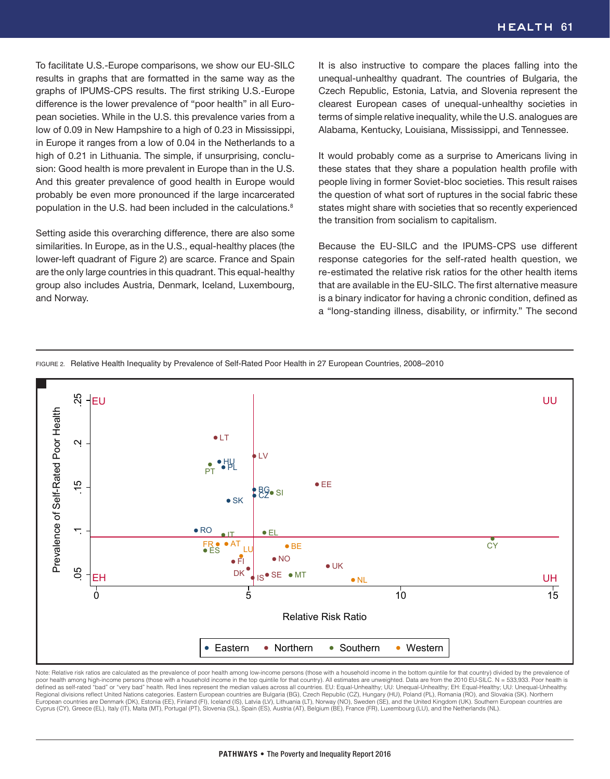To facilitate U.S.-Europe comparisons, we show our EU-SILC results in graphs that are formatted in the same way as the graphs of IPUMS-CPS results. The first striking U.S.-Europe difference is the lower prevalence of "poor health" in all European societies. While in the U.S. this prevalence varies from a low of 0.09 in New Hampshire to a high of 0.23 in Mississippi, in Europe it ranges from a low of 0.04 in the Netherlands to a high of 0.21 in Lithuania. The simple, if unsurprising, conclusion: Good health is more prevalent in Europe than in the U.S. And this greater prevalence of good health in Europe would probably be even more pronounced if the large incarcerated population in the U.S. had been included in the calculations.<sup>8</sup>

Setting aside this overarching difference, there are also some similarities. In Europe, as in the U.S., equal-healthy places (the lower-left quadrant of Figure 2) are scarce. France and Spain are the only large countries in this quadrant. This equal-healthy group also includes Austria, Denmark, Iceland, Luxembourg, and Norway.

It is also instructive to compare the places falling into the unequal-unhealthy quadrant. The countries of Bulgaria, the Czech Republic, Estonia, Latvia, and Slovenia represent the clearest European cases of unequal-unhealthy societies in terms of simple relative inequality, while the U.S. analogues are Alabama, Kentucky, Louisiana, Mississippi, and Tennessee.

It would probably come as a surprise to Americans living in these states that they share a population health profile with people living in former Soviet-bloc societies. This result raises the question of what sort of ruptures in the social fabric these states might share with societies that so recently experienced the transition from socialism to capitalism.

Because the EU-SILC and the IPUMS-CPS use different response categories for the self-rated health question, we re-estimated the relative risk ratios for the other health items that are available in the EU-SILC. The first alternative measure is a binary indicator for having a chronic condition, defined as a "long-standing illness, disability, or infirmity." The second

FIGURE 2. Relative Health Inequality by Prevalence of Self-Rated Poor Health in 27 European Countries, 2008–2010



Note: Relative risk ratios are calculated as the prevalence of poor health among low-income persons (those with a household income in the bottom quintile for that country) divided by the prevalence of poor health among high-income persons (those with a household income in the top quintile for that country). All estimates are unweighted. Data are from the 2010 EU-SILC. N = 533,933. Poor health is defined as self-rated "bad" or "very bad" health. Red lines represent the median values across all countries. EU: Equal-Unhealthy; UU: Unequal-Unhealthy; EH: Equal-Healthy; UU: Unequal-Unhealthy. Regional divisions reflect United Nations categories. Eastern European countries are Bulgaria (BG), Czech Republic (CZ), Hungary (HU), Poland (PL), Romania (RO), and Slovakia (SK). Northern<br>European countries are Denmark ( Cyprus (CY), Greece (EL), Italy (IT), Malta (MT), Portugal (PT), Slovenia (SL), Spain (ES), Austria (AT), Belgium (BE), France (FR), Luxembourg (LU), and the Netherlands (NL).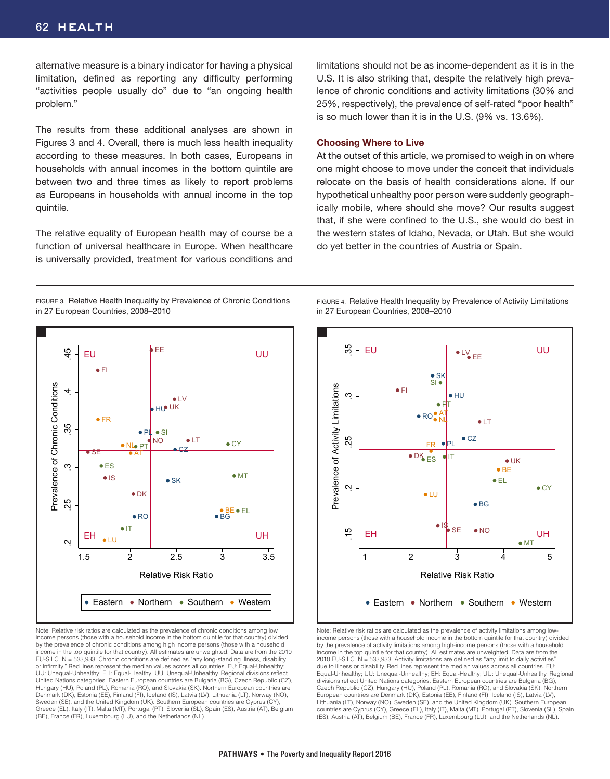alternative measure is a binary indicator for having a physical limitation, defined as reporting any difficulty performing "activities people usually do" due to "an ongoing health problem."

The results from these additional analyses are shown in Figures 3 and 4. Overall, there is much less health inequality according to these measures. In both cases, Europeans in households with annual incomes in the bottom quintile are between two and three times as likely to report problems as Europeans in households with annual income in the top quintile.

The relative equality of European health may of course be a function of universal healthcare in Europe. When healthcare is universally provided, treatment for various conditions and

limitations should not be as income-dependent as it is in the U.S. It is also striking that, despite the relatively high prevalence of chronic conditions and activity limitations (30% and 25%, respectively), the prevalence of self-rated "poor health" is so much lower than it is in the U.S. (9% vs. 13.6%).

#### **Choosing Where to Live**

At the outset of this article, we promised to weigh in on where one might choose to move under the conceit that individuals relocate on the basis of health considerations alone. If our hypothetical unhealthy poor person were suddenly geographically mobile, where should she move? Our results suggest that, if she were confined to the U.S., she would do best in the western states of Idaho, Nevada, or Utah. But she would do yet better in the countries of Austria or Spain.

FIGURE 3. Relative Health Inequality by Prevalence of Chronic Conditions in 27 European Countries, 2008–2010



FIGURE 4. Relative Health Inequality by Prevalence of Activity Limitations



Note: Relative risk ratios are calculated as the prevalence of chronic conditions among low income persons (those with a household income in the bottom quintile for that country) divided by the prevalence of chronic conditions among high income persons (those with a household income in the top quintile for that country). All estimates are unweighted. Data are from the 2010 EU-SILC. N = 533,933. Chronic conditions are defined as "any long-standing illness, disability or infirmity." Red lines represent the median values across all countries. EU: Equal-Unhealthy; UU: Unequal-Unhealthy; EH: Equal-Healthy; UU: Unequal-Unhealthy. Regional divisions reflect United Nations categories. Eastern European countries are Bulgaria (BG), Czech Republic (CZ), Hungary (HU), Poland (PL), Romania (RO), and Slovakia (SK). Northern European countries are Denmark (DK), Estonia (EE), Finland (FI), Iceland (IS), Latvia (LV), Lithuania (LT), Norway (NO), Sweden (SE), and the United Kingdom (UK). Southern European countries are Cyprus (CY), Greece (EL), Italy (IT), Malta (MT), Portugal (PT), Slovenia (SL), Spain (ES), Austria (AT), Belgium (BE), France (FR), Luxembourg (LU), and the Netherlands (NL).



Note: Relative risk ratios are calculated as the prevalence of activity limitations among lowincome persons (those with a household income in the bottom quintile for that country) divided by the prevalence of activity limitations among high-income persons (those with a household income in the top quintile for that country). All estimates are unweighted. Data are from the 2010 EU-SILC.  $N = 533,933$ . Activity limitations are defined as "any limit to daily activities due to illness or disability. Red lines represent the median values across all countries. EU: Equal-Unhealthy; UU: Unequal-Unhealthy; EH: Equal-Healthy; UU: Unequal-Unhealthy. Regional divisions reflect United Nations categories. Eastern European countries are Bulgaria (BG), Czech Republic (CZ), Hungary (HU), Poland (PL), Romania (RO), and Slovakia (SK). Northern European countries are Denmark (DK), Estonia (EE), Finland (FI), Iceland (IS), Latvia (LV), Lithuania (LT), Norway (NO), Sweden (SE), and the United Kingdom (UK). Southern European countries are Cyprus (CY), Greece (EL), Italy (IT), Malta (MT), Portugal (PT), Slovenia (SL), Spain (ES), Austria (AT), Belgium (BE), France (FR), Luxembourg (LU), and the Netherlands (NL).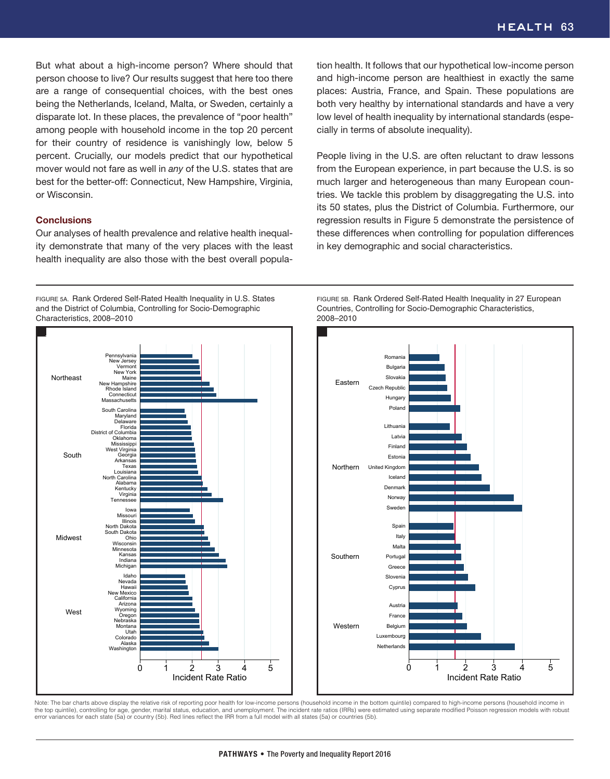But what about a high-income person? Where should that person choose to live? Our results suggest that here too there are a range of consequential choices, with the best ones being the Netherlands, Iceland, Malta, or Sweden, certainly a disparate lot. In these places, the prevalence of "poor health" among people with household income in the top 20 percent for their country of residence is vanishingly low, below 5 percent. Crucially, our models predict that our hypothetical mover would not fare as well in *any* of the U.S. states that are best for the better-off: Connecticut, New Hampshire, Virginia, or Wisconsin.

#### **Conclusions**

**West** 

Washington Alaska Colorado Utah Montana Arizona<br>Wyoming<br>Oregon<br>Nebraska California<br>Arizona New Mexico Hawaii Nevada Idaho **Michigan** Indiana Kansas Minnesota **Wisconsin** South Dakota<br>Ohio North Dakota Illinois Missour Iowa Tennessee Virginia Kentucky Alabama North Carolina Louisiana Texas Arkansas **Georgia** West Virginia Mississippi Oklahoma District of Columbia Florida Delaware Maryland South Carolina Massachusett: Connecticut Rhode Island New Hampshire Maine New York Vermon New Jersey Pennsylvania

Midwest

South

**Northeast** 

Our analyses of health prevalence and relative health inequality demonstrate that many of the very places with the least health inequality are also those with the best overall popula-

FIGURE 5A. Rank Ordered Self-Rated Health Inequality in U.S. States and the District of Columbia, Controlling for Socio-Demographic Characteristics, 2008–2010

tion health. It follows that our hypothetical low-income person and high-income person are healthiest in exactly the same places: Austria, France, and Spain. These populations are both very healthy by international standards and have a very low level of health inequality by international standards (especially in terms of absolute inequality).

People living in the U.S. are often reluctant to draw lessons from the European experience, in part because the U.S. is so much larger and heterogeneous than many European countries. We tackle this problem by disaggregating the U.S. into its 50 states, plus the District of Columbia. Furthermore, our regression results in Figure 5 demonstrate the persistence of these differences when controlling for population differences in key demographic and social characteristics.





Note: The bar charts above display the relative risk of reporting poor health for low-income persons (household income in the bottom quintile) compared to high-income persons (household income in the top quintile), controlling for age, gender, marital status, education, and unemployment. The incident rate ratios (IRRs) were estimated using separate modified Poisson regression models with robust error variances for each state (5a) or country (5b). Red lines reflect the IRR from a full model with all states (5a) or countries (5b).

0 1 2 3 4 5 Incident Rate Ratio